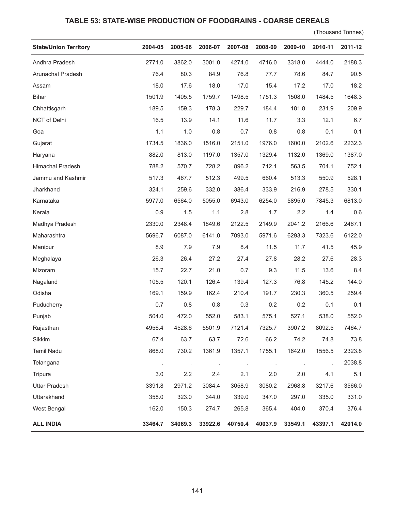## **TABLE 53: STATE-WISE PRODUCTION OF FOODGRAINS - COARSE CEREALS**

(Thousand Tonnes)

| <b>State/Union Territory</b> | 2004-05 | 2005-06 | 2006-07 | 2007-08 | 2008-09 | 2009-10 | 2010-11 | 2011-12 |
|------------------------------|---------|---------|---------|---------|---------|---------|---------|---------|
| Andhra Pradesh               | 2771.0  | 3862.0  | 3001.0  | 4274.0  | 4716.0  | 3318.0  | 4444.0  | 2188.3  |
| Arunachal Pradesh            | 76.4    | 80.3    | 84.9    | 76.8    | 77.7    | 78.6    | 84.7    | 90.5    |
| Assam                        | 18.0    | 17.6    | 18.0    | 17.0    | 15.4    | 17.2    | 17.0    | 18.2    |
| <b>Bihar</b>                 | 1501.9  | 1405.5  | 1759.7  | 1498.5  | 1751.3  | 1508.0  | 1484.5  | 1648.3  |
| Chhattisgarh                 | 189.5   | 159.3   | 178.3   | 229.7   | 184.4   | 181.8   | 231.9   | 209.9   |
| NCT of Delhi                 | 16.5    | 13.9    | 14.1    | 11.6    | 11.7    | 3.3     | 12.1    | 6.7     |
| Goa                          | 1.1     | 1.0     | 0.8     | 0.7     | 0.8     | 0.8     | 0.1     | 0.1     |
| Gujarat                      | 1734.5  | 1836.0  | 1516.0  | 2151.0  | 1976.0  | 1600.0  | 2102.6  | 2232.3  |
| Haryana                      | 882.0   | 813.0   | 1197.0  | 1357.0  | 1329.4  | 1132.0  | 1369.0  | 1387.0  |
| Himachal Pradesh             | 788.2   | 570.7   | 728.2   | 896.2   | 712.1   | 563.5   | 704.1   | 752.1   |
| Jammu and Kashmir            | 517.3   | 467.7   | 512.3   | 499.5   | 660.4   | 513.3   | 550.9   | 528.1   |
| Jharkhand                    | 324.1   | 259.6   | 332.0   | 386.4   | 333.9   | 216.9   | 278.5   | 330.1   |
| Karnataka                    | 5977.0  | 6564.0  | 5055.0  | 6943.0  | 6254.0  | 5895.0  | 7845.3  | 6813.0  |
| Kerala                       | 0.9     | 1.5     | 1.1     | 2.8     | 1.7     | 2.2     | 1.4     | 0.6     |
| Madhya Pradesh               | 2330.0  | 2348.4  | 1849.6  | 2122.5  | 2149.9  | 2041.2  | 2166.6  | 2467.1  |
| Maharashtra                  | 5696.7  | 6087.0  | 6141.0  | 7093.0  | 5971.6  | 6293.3  | 7323.6  | 6122.0  |
| Manipur                      | 8.9     | 7.9     | 7.9     | 8.4     | 11.5    | 11.7    | 41.5    | 45.9    |
| Meghalaya                    | 26.3    | 26.4    | 27.2    | 27.4    | 27.8    | 28.2    | 27.6    | 28.3    |
| Mizoram                      | 15.7    | 22.7    | 21.0    | 0.7     | 9.3     | 11.5    | 13.6    | 8.4     |
| Nagaland                     | 105.5   | 120.1   | 126.4   | 139.4   | 127.3   | 76.8    | 145.2   | 144.0   |
| Odisha                       | 169.1   | 159.9   | 162.4   | 210.4   | 191.7   | 230.3   | 360.5   | 259.4   |
| Puducherry                   | 0.7     | 0.8     | 0.8     | 0.3     | 0.2     | 0.2     | 0.1     | 0.1     |
| Punjab                       | 504.0   | 472.0   | 552.0   | 583.1   | 575.1   | 527.1   | 538.0   | 552.0   |
| Rajasthan                    | 4956.4  | 4528.6  | 5501.9  | 7121.4  | 7325.7  | 3907.2  | 8092.5  | 7464.7  |
| Sikkim                       | 67.4    | 63.7    | 63.7    | 72.6    | 66.2    | 74.2    | 74.8    | 73.8    |
| <b>Tamil Nadu</b>            | 868.0   | 730.2   | 1361.9  | 1357.1  | 1755.1  | 1642.0  | 1556.5  | 2323.8  |
| Telangana                    |         |         | $\cdot$ |         | $\cdot$ | $\cdot$ |         | 2038.8  |
| Tripura                      | 3.0     | 2.2     | 2.4     | 2.1     | 2.0     | 2.0     | 4.1     | 5.1     |
| <b>Uttar Pradesh</b>         | 3391.8  | 2971.2  | 3084.4  | 3058.9  | 3080.2  | 2968.8  | 3217.6  | 3566.0  |
| Uttarakhand                  | 358.0   | 323.0   | 344.0   | 339.0   | 347.0   | 297.0   | 335.0   | 331.0   |
| West Bengal                  | 162.0   | 150.3   | 274.7   | 265.8   | 365.4   | 404.0   | 370.4   | 376.4   |
| <b>ALL INDIA</b>             | 33464.7 | 34069.3 | 33922.6 | 40750.4 | 40037.9 | 33549.1 | 43397.1 | 42014.0 |